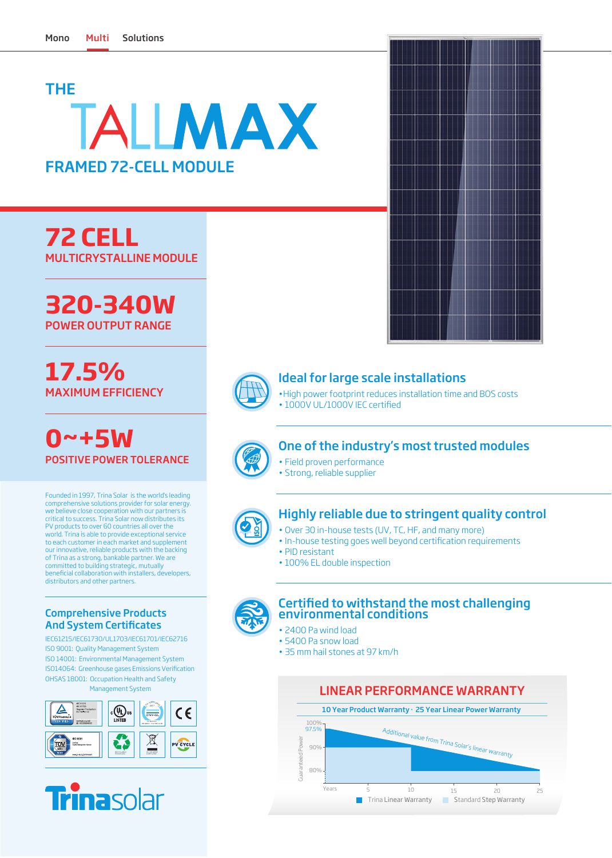## THE TALLMAX FRAMED 72-CELL MODULE

**72 CELL** MULTICRYSTALLINE MODULE

**320-340W** POWER OUTPUT RANGE

**17.5%** MAXIMUM EFFICIENCY

**0~+5W** POSITIVE POWER TOLERANCE

Founded in 1997, Trina Solar is the world's leading comprehensive solutions provider for solar energy. we believe close cooperation with our partners is critical to success. Trina Solar now distributes its PV products to over 60 countries all over the world. Trina is able to provide exceptional service to each customer in each market and supplement our innovative, reliable products with the backing of Trina as a strong, bankable partner. We are committed to building strategic, mutually beneficial collaboration with installers, developers, distributors and other partners.

## Comprehensive Products And System Certificates

IEC61215/IEC61730/UL1703/IEC61701/IEC62716 ISO 9001: Quality Management System ISO 14001: Environmental Management System ISO14064: Greenhouse gases Emissions Verification OHSAS 18001: Occupation Health and Safety Management System





## Ideal for large scale installations

• High power footprint reduces installation time and BOS costs • 1000V UL/1000V IEC certified



## One of the industry's most trusted modules

- Field proven performance
- Strong, reliable supplier



## Highly reliable due to stringent quality control

- Over 30 in-house tests (UV, TC, HF, and many more)
- In-house testing goes well beyond certification requirements
- PID resistant
- 100% EL double inspection



## Certified to withstand the most challenging environmental conditions

- 2400 Pa wind load
- 5400 Pa snow load
- 35 mm hail stones at 97 km/h